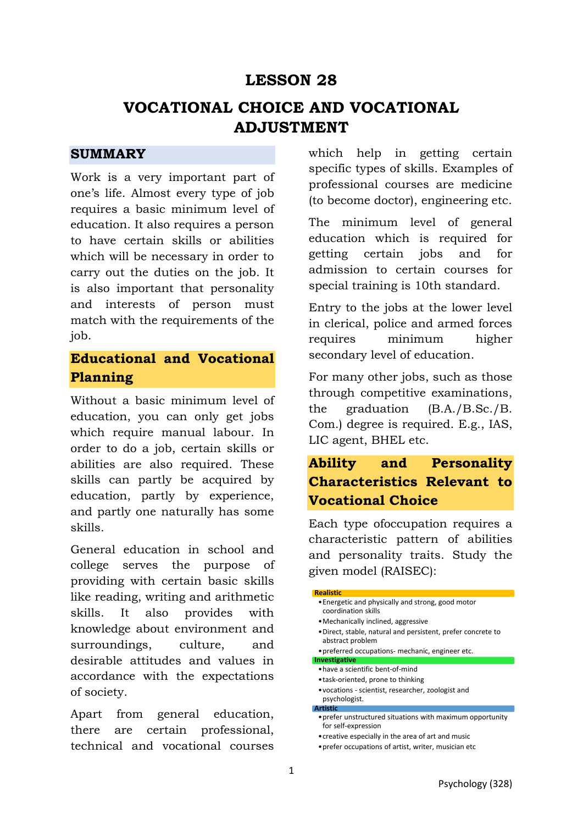# **LESSON 28**

# **VOCATIONAL CHOICE AND VOCATIONAL ADJUSTMENT**

### **SUMMARY**

Work is a very important part of one's life. Almost every type of job requires a basic minimum level of education. It also requires a person to have certain skills or abilities which will be necessary in order to carry out the duties on the job. It is also important that personality and interests of person must match with the requirements of the job.

# **Educational and Vocational Planning**

Without a basic minimum level of education, you can only get jobs which require manual labour. In order to do a job, certain skills or abilities are also required. These skills can partly be acquired by education, partly by experience, and partly one naturally has some skills.

General education in school and college serves the purpose of providing with certain basic skills like reading, writing and arithmetic skills. It also provides with knowledge about environment and surroundings, culture, and desirable attitudes and values in accordance with the expectations of society.

Apart from general education, there are certain professional, technical and vocational courses which help in getting certain specific types of skills. Examples of professional courses are medicine (to become doctor), engineering etc.

The minimum level of general education which is required for getting certain jobs and for admission to certain courses for special training is 10th standard.

Entry to the jobs at the lower level in clerical, police and armed forces requires minimum higher secondary level of education.

For many other jobs, such as those through competitive examinations, the graduation (B.A./B.Sc./B. Com.) degree is required. E.g., IAS, LIC agent, BHEL etc.

# **Ability and Personality Characteristics Relevant to Vocational Choice**

Each type ofoccupation requires a characteristic pattern of abilities and personality traits. Study the given model (RAISEC):

### **Realistic**  •Energetic and physically and strong, good motor coordination skills •Mechanically inclined, aggressive •Direct, stable, natural and persistent, prefer concrete to abstract problem •preferred occupations- mechanic, engineer etc. **Investigative**  •have a scientific bent-of-mind •task-oriented, prone to thinking •vocations - scientist, researcher, zoologist and psychologist. **Artistic**  •prefer unstructured situations with maximum opportunity for self-expression •creative especially in the area of art and music

•prefer occupations of artist, writer, musician etc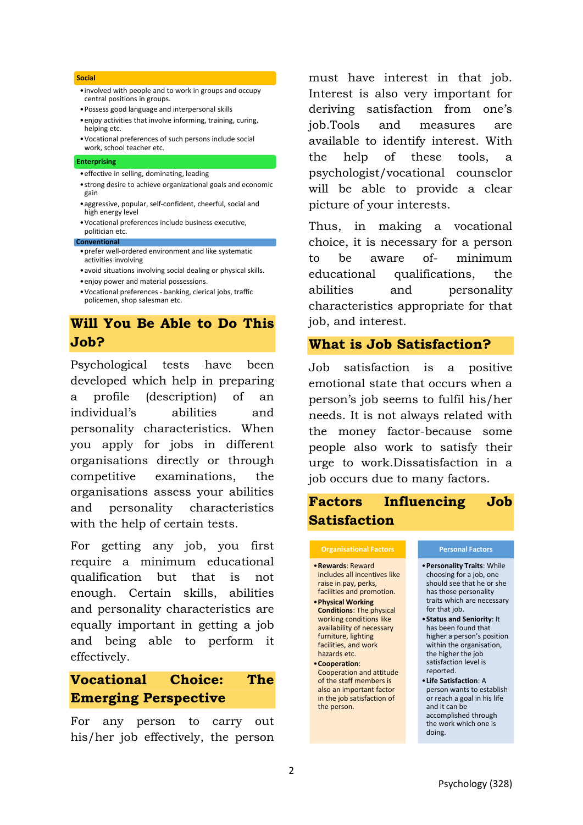#### **Social**

- •involved with people and to work in groups and occupy central positions in groups.
- •Possess good language and interpersonal skills
- •enjoy activities that involve informing, training, curing, helping etc.
- •Vocational preferences of such persons include social work, school teacher etc.

#### **Enterprising**

- •effective in selling, dominating, leading
- •strong desire to achieve organizational goals and economic gain
- •aggressive, popular, self-confident, cheerful, social and high energy level
- •Vocational preferences include business executive, politician etc.

### **Conventional**

- •prefer well-ordered environment and like systematic activities involving
- •avoid situations involving social dealing or physical skills.
- •enjoy power and material possessions.
- •Vocational preferences banking, clerical jobs, traffic policemen, shop salesman etc.

## **Will You Be Able to Do This Job?**

Psychological tests have been developed which help in preparing a profile (description) of an individual's abilities and personality characteristics. When you apply for jobs in different organisations directly or through competitive examinations, the organisations assess your abilities and personality characteristics with the help of certain tests.

For getting any job, you first require a minimum educational qualification but that is not enough. Certain skills, abilities and personality characteristics are equally important in getting a job and being able to perform it effectively.

# **Vocational Choice: The Emerging Perspective**

For any person to carry out his/her job effectively, the person

must have interest in that job. Interest is also very important for deriving satisfaction from one's job.Tools and measures are available to identify interest. With the help of these tools, a psychologist/vocational counselor will be able to provide a clear picture of your interests.

Thus, in making a vocational choice, it is necessary for a person to be aware of- minimum educational qualifications, the abilities and personality characteristics appropriate for that job, and interest.

### **What is Job Satisfaction?**

Job satisfaction is a positive emotional state that occurs when a person's job seems to fulfil his/her needs. It is not always related with the money factor-because some people also work to satisfy their urge to work.Dissatisfaction in a job occurs due to many factors.

# **Factors Influencing Job Satisfaction**

### **Organisational Factors**

•**Rewards**: Reward includes all incentives like raise in pay, perks, facilities and promotion. •**Physical Working** 

**Conditions**: The physical working conditions like availability of necessary furniture, lighting facilities, and work hazards etc.

•**Cooperation**: Cooperation and attitude of the staff members is also an important factor in the job satisfaction of the person.

#### **Personal Factors**

- •**Personality Traits**: While choosing for a job, one should see that he or she has those personality traits which are necessary for that job.
- •**Status and Seniority**: It has been found that higher a person's position within the organisation, the higher the job satisfaction level is reported.
- •**Life Satisfaction**: A person wants to establish or reach a goal in his life and it can be accomplished through the work which one is doing.